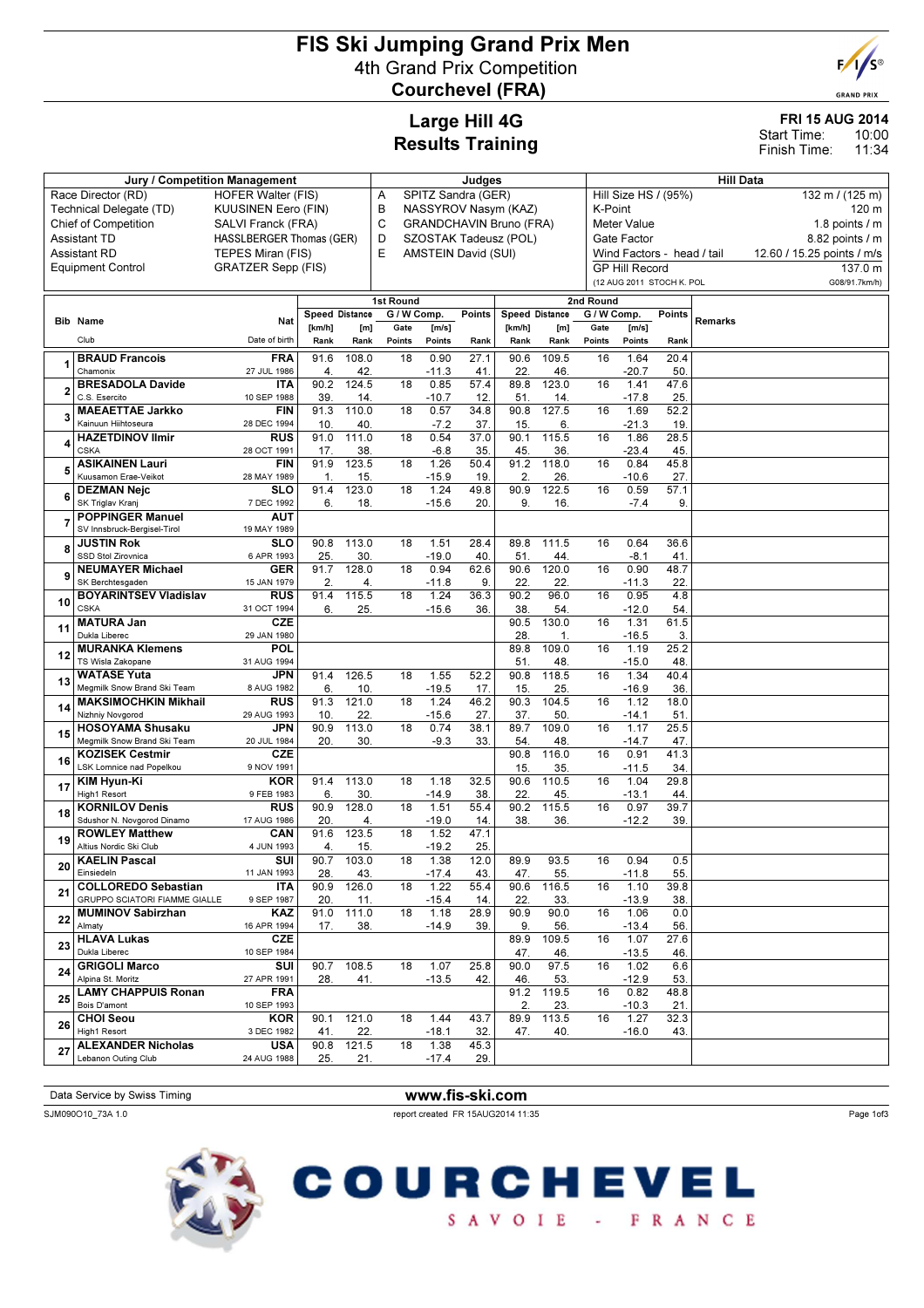# FIS Ski Jumping Grand Prix Men 4th Grand Prix Competition Courchevel (FRA)



**GRAND PRIX** 

10:00 11:34

FRI 15 AUG 2014

Start Time: Finish Time:

# Large Hill 4G Results Training

| Jury / Competition Management                          |                                                             |                           |             |                       |                 | Judges          |                            |                         |                       |             |                                         | <b>Hill Data</b> |         |                            |  |  |  |
|--------------------------------------------------------|-------------------------------------------------------------|---------------------------|-------------|-----------------------|-----------------|-----------------|----------------------------|-------------------------|-----------------------|-------------|-----------------------------------------|------------------|---------|----------------------------|--|--|--|
| Race Director (RD)<br><b>HOFER Walter (FIS)</b>        |                                                             |                           |             |                       |                 |                 | SPITZ Sandra (GER)         |                         |                       |             | Hill Size HS / (95%)<br>132 m / (125 m) |                  |         |                            |  |  |  |
| Technical Delegate (TD)<br><b>KUUSINEN Eero (FIN)</b>  |                                                             |                           |             |                       | Α<br>В          |                 |                            | NASSYROV Nasym (KAZ)    |                       |             | K-Point<br>120 m                        |                  |         |                            |  |  |  |
| <b>Chief of Competition</b><br>SALVI Franck (FRA)      |                                                             |                           |             |                       | C               |                 |                            | GRANDCHAVIN Bruno (FRA) |                       |             | Meter Value<br>1.8 points $/$ m         |                  |         |                            |  |  |  |
| <b>Assistant TD</b><br><b>HASSLBERGER Thomas (GER)</b> |                                                             |                           |             |                       | D               |                 |                            | SZOSTAK Tadeusz (POL)   |                       |             | Gate Factor                             |                  |         | 8.82 points / m            |  |  |  |
|                                                        | <b>Assistant RD</b>                                         | TEPES Miran (FIS)         |             |                       | E               |                 | <b>AMSTEIN David (SUI)</b> |                         |                       |             | Wind Factors - head / tail              |                  |         | 12.60 / 15.25 points / m/s |  |  |  |
|                                                        | <b>Equipment Control</b>                                    | <b>GRATZER Sepp (FIS)</b> |             |                       |                 |                 |                            |                         |                       |             | <b>GP Hill Record</b>                   |                  |         | 137.0 m                    |  |  |  |
|                                                        |                                                             |                           |             |                       |                 |                 |                            |                         |                       |             | (12 AUG 2011 STOCH K. POL               |                  |         | G08/91.7km/h)              |  |  |  |
|                                                        |                                                             |                           |             |                       | 1st Round       |                 |                            |                         |                       | 2nd Round   |                                         |                  |         |                            |  |  |  |
|                                                        |                                                             |                           |             | <b>Speed Distance</b> | G / W Comp.     |                 | Points                     |                         | <b>Speed Distance</b> | G / W Comp. |                                         | Points           | Remarks |                            |  |  |  |
|                                                        | <b>Bib Name</b>                                             | Nat                       | [km/h]      | [m]                   | Gate            | [m/s]           |                            | [km/h]                  | [m]                   | Gate        | [m/s]                                   |                  |         |                            |  |  |  |
|                                                        | Club                                                        | Date of birth             | Rank        | Rank                  | Points          | Points          | Rank                       | Rank                    | Rank                  | Points      | Points                                  | Rank             |         |                            |  |  |  |
|                                                        | <b>BRAUD Francois</b>                                       | <b>FRA</b>                | 91.6        | 108.0                 | 18              | 0.90            | 27.1                       | 90.6                    | 109.5                 | 16          | 1.64                                    | 20.4             |         |                            |  |  |  |
|                                                        | Chamonix<br><b>BRESADOLA Davide</b>                         | 27 JUL 1986<br><b>ITA</b> | 4<br>90.2   | 42<br>124.5           | 18              | $-11.3$<br>0.85 | 41<br>57.4                 | 22.<br>89.8             | 46.<br>123.0          | 16          | $-20.7$<br>1.41                         | 50<br>47.6       |         |                            |  |  |  |
| 2                                                      | C.S. Esercito                                               | 10 SEP 1988               | 39          | 14                    |                 | $-10.7$         | 12                         | 51                      | 14.                   |             | $-17.8$                                 | 25.              |         |                            |  |  |  |
| 3                                                      | <b>MAEAETTAE Jarkko</b>                                     | <b>FIN</b>                | 91.3        | 110.0                 | 18              | 0.57            | 34.8                       | 90.8                    | 127.5                 | 16          | 1.69                                    | 52.2             |         |                            |  |  |  |
|                                                        | Kainuun Hiihtoseura                                         | 28 DEC 1994               | 10          | 40                    |                 | $-7.2$          | 37.                        | 15                      | 6.                    |             | $-21.3$                                 | 19               |         |                            |  |  |  |
|                                                        | <b>HAZETDINOV Ilmir</b>                                     | <b>RUS</b>                | 91.0        | 111.0                 | 18              | 0.54            | 37.0                       | 90.1                    | 115.5                 | 16          | 1.86                                    | 28.5             |         |                            |  |  |  |
|                                                        | <b>CSKA</b><br><b>ASIKAINEN Lauri</b>                       | 28 OCT 1991<br><b>FIN</b> | 17.<br>91.9 | 38<br>123.5           | 18              | $-6.8$<br>1.26  | 35<br>50.4                 | 45<br>91.2              | 36.<br>118.0          | 16          | $-23.4$<br>0.84                         | 45.<br>45.8      |         |                            |  |  |  |
| 5                                                      | Kuusamon Erae-Veikot                                        | 28 MAY 1989               | 1.          | 15.                   |                 | $-15.9$         | 19                         | 2.                      | 26.                   |             | $-10.6$                                 | 27.              |         |                            |  |  |  |
|                                                        | <b>DEZMAN Nejc</b>                                          | <b>SLO</b>                | 91.4        | 123.0                 | 18              | 1.24            | 49.8                       | 90.9                    | 122.5                 | 16          | 0.59                                    | 57.1             |         |                            |  |  |  |
| 6                                                      | SK Triglav Kranj                                            | 7 DEC 1992                | 6.          | 18.                   |                 | $-15.6$         | 20.                        | 9.                      | 16.                   |             | $-7.4$                                  | 9.               |         |                            |  |  |  |
|                                                        | <b>POPPINGER Manuel</b>                                     | <b>AUT</b>                |             |                       |                 |                 |                            |                         |                       |             |                                         |                  |         |                            |  |  |  |
|                                                        | SV Innsbruck-Beraisel-Tirol<br><b>JUSTIN Rok</b>            | 19 MAY 1989<br><b>SLO</b> | 90.8        | 113.0                 | 18              | 1.51            | 28.4                       | 89.8                    | 111.5                 | 16          | 0.64                                    | 36.6             |         |                            |  |  |  |
| 8                                                      | SSD Stol Zirovnica                                          | 6 APR 1993                | 25.         | 30                    |                 | $-19.0$         | 40                         | 51                      | 44.                   |             | $-8.1$                                  | 41               |         |                            |  |  |  |
|                                                        | <b>NEUMAYER Michael</b>                                     | <b>GER</b>                | 91.7        | 128.0                 | 18              | 0.94            | 62.6                       | 90.6                    | 120.0                 | 16          | 0.90                                    | 48.7             |         |                            |  |  |  |
| 9                                                      | SK Berchtesgaden                                            | 15 JAN 1979               | 2.          | 4.                    |                 | $-11.8$         | 9                          | 22.                     | 22.                   |             | $-11.3$                                 | 22.              |         |                            |  |  |  |
| 10                                                     | <b>BOYARINTSEV Vladislav</b>                                | <b>RUS</b>                | 91.4        | 115.5                 | $\overline{18}$ | 1.24            | 36.3                       | 90.2                    | 96.0                  | 16          | 0.95                                    | 4.8              |         |                            |  |  |  |
|                                                        | <b>CSKA</b><br><b>MATURA Jan</b>                            | 31 OCT 1994<br><b>CZE</b> | 6.          | 25.                   |                 | $-15.6$         | 36                         | 38<br>90.5              | 54.<br>130.0          | 16          | $-12.0$<br>1.31                         | 54<br>61.5       |         |                            |  |  |  |
| 11                                                     | Dukla Liberec                                               | 29 JAN 1980               |             |                       |                 |                 |                            | 28                      | 1.                    |             | $-16.5$                                 | 3.               |         |                            |  |  |  |
| 12                                                     | <b>MURANKA Klemens</b>                                      | POL                       |             |                       |                 |                 |                            | 89.8                    | 109.0                 | 16          | 1.19                                    | 25.2             |         |                            |  |  |  |
|                                                        | TS Wisla Zakopane                                           | 31 AUG 1994               |             |                       |                 |                 |                            | 51.                     | 48.                   |             | $-15.0$                                 | 48.              |         |                            |  |  |  |
| 13                                                     | <b>WATASE Yuta</b><br>Megmilk Snow Brand Ski Team           | <b>JPN</b><br>8 AUG 1982  | 91.4<br>6.  | 126.5<br>10           | $\overline{18}$ | 1.55<br>$-19.5$ | 52.2<br>17.                | 90.8<br>15              | 118.5<br>25.          | 16          | 1.34<br>$-16.9$                         | 40.4<br>36.      |         |                            |  |  |  |
|                                                        | <b>MAKSIMOCHKIN Mikhail</b>                                 | <b>RUS</b>                | 91.3        | 121.0                 | 18              | 1.24            | 46.2                       | 90.3                    | 104.5                 | 16          | 1.12                                    | 18.0             |         |                            |  |  |  |
| 14                                                     | Nizhniy Novgorod                                            | 29 AUG 1993               | 10          | 22.                   |                 | $-15.6$         | 27.                        | 37.                     | 50.                   |             | $-14.1$                                 | 51               |         |                            |  |  |  |
| 15                                                     | <b>HOSOYAMA Shusaku</b>                                     | <b>JPN</b>                | 90.9        | 113.0                 | 18              | 0.74            | 38.1                       | 89.7                    | 109.0                 | 16          | 1.17                                    | 25.5             |         |                            |  |  |  |
|                                                        | Megmilk Snow Brand Ski Team<br><b>KOZISEK Cestmir</b>       | 20 JUL 1984<br>CZE        | 20.         | 30.                   |                 | $-9.3$          | 33.                        | 54<br>90.8              | 48.<br>116.0          | 16          | $-14.7$<br>0.91                         | 47<br>41.3       |         |                            |  |  |  |
| 16                                                     | LSK Lomnice nad Popelkou                                    | 9 NOV 1991                |             |                       |                 |                 |                            | 15                      | 35.                   |             | $-11.5$                                 | 34.              |         |                            |  |  |  |
|                                                        | KIM Hyun-Ki                                                 | <b>KOR</b>                | 91.4        | 113.0                 | 18              | 1.18            | 32.5                       | 90.6                    | 110.5                 | 16          | 1.04                                    | 29.8             |         |                            |  |  |  |
| 17                                                     | High1 Resort                                                | 9 FEB 1983                | 6.          | 30                    |                 | $-14.9$         | 38                         | 22                      | 45.                   |             | $-13.1$                                 | 44               |         |                            |  |  |  |
| 18                                                     | <b>KORNILOV Denis</b>                                       | <b>RUS</b>                | 90.9        | 128.0                 | 18              | 1.51            | 55.4                       | 90.2                    | 115.5                 | 16          | 0.97                                    | 39.7             |         |                            |  |  |  |
|                                                        | Sdushor N. Novgorod Dinamo<br><b>ROWLEY Matthew</b>         | 17 AUG 1986<br>CAN        | 20.<br>91.6 | 4.<br>123.5           | 18              | $-19.0$<br>1.52 | 14.<br>47.1                | 38.                     | 36.                   |             | $-12.2$                                 | 39.              |         |                            |  |  |  |
| 19                                                     | Altius Nordic Ski Club                                      | 4 JUN 1993                | 4.          | 15.                   |                 | $-19.2$         | 25.                        |                         |                       |             |                                         |                  |         |                            |  |  |  |
| 20                                                     | <b>KAELIN Pascal</b>                                        | SUI                       | 90.7        | 103.0                 | 18              | 1.38            | 12.0                       | 89.9                    | 93.5                  | 16          | 0.94                                    | 0.5              |         |                            |  |  |  |
|                                                        | Einsiedeln                                                  | 11 JAN 1993               | 28.         | 43.                   |                 | $-17.4$         | 43.                        | 47.                     | 55.                   |             | $-11.8$                                 | 55.              |         |                            |  |  |  |
| 21                                                     | <b>COLLOREDO Sebastian</b><br>GRUPPO SCIATORI FIAMME GIALLE | ITA<br>9 SEP 1987         | 90.9<br>20. | 126.0<br>11.          | 18              | 1.22<br>$-15.4$ | 55.4<br>14.                | 90.6<br>22.             | 116.5<br>33.          | 16          | 1.10<br>$-13.9$                         | 39.8<br>38.      |         |                            |  |  |  |
|                                                        | <b>MUMINOV Sabirzhan</b>                                    | KAZ                       |             | 91.0 111.0            | 18              | 1.18            | 28.9                       | 90.9                    | 90.0                  | 16          | 1.06                                    | 0.0              |         |                            |  |  |  |
| 22                                                     | Almaty                                                      | 16 APR 1994               | 17.         | 38.                   |                 | $-14.9$         | 39.                        | 9.                      | 56.                   |             | $-13.4$                                 | 56.              |         |                            |  |  |  |
| 23                                                     | <b>HLAVA Lukas</b>                                          | <b>CZE</b>                |             |                       |                 |                 |                            | 89.9                    | 109.5                 | 16          | 1.07                                    | 27.6             |         |                            |  |  |  |
|                                                        | Dukla Liberec<br><b>GRIGOLI Marco</b>                       | 10 SEP 1984<br>SUI        | 90.7        | 108.5                 | 18              | 1.07            | 25.8                       | 47.<br>90.0             | 46.<br>97.5           | 16          | $-13.5$<br>1.02                         | 46.<br>6.6       |         |                            |  |  |  |
| 24                                                     | Alpina St. Moritz                                           | 27 APR 1991               | 28.         | 41.                   |                 | $-13.5$         | 42.                        | 46.                     | 53.                   |             | $-12.9$                                 | 53.              |         |                            |  |  |  |
| 25                                                     | <b>LAMY CHAPPUIS Ronan</b>                                  | <b>FRA</b>                |             |                       |                 |                 |                            | 91.2                    | 119.5                 | 16          | 0.82                                    | 48.8             |         |                            |  |  |  |
|                                                        | Bois D'amont                                                | 10 SEP 1993               |             |                       |                 |                 |                            | 2.                      | 23.                   |             | -10.3                                   | 21.              |         |                            |  |  |  |
| 26                                                     | <b>CHOI Seou</b>                                            | <b>KOR</b>                | 90.1        | 121.0                 | 18              | 1.44            | 43.7                       | 89.9                    | 113.5                 | 16          | 1.27                                    | 32.3             |         |                            |  |  |  |
|                                                        | High1 Resort<br><b>ALEXANDER Nicholas</b>                   | 3 DEC 1982<br><b>USA</b>  | 41.<br>90.8 | 22.<br>121.5          | 18              | $-18.1$<br>1.38 | 32.<br>45.3                | 47.                     | 40.                   |             | $-16.0$                                 | 43.              |         |                            |  |  |  |
| 27                                                     | Lebanon Outing Club                                         | 24 AUG 1988               | 25.         | 21.                   |                 | $-17.4$         | 29.                        |                         |                       |             |                                         |                  |         |                            |  |  |  |

Data Service by Swiss Timing WWW.fis-ski.com

SJM090O10\_73A 1.0 report created FR 15AUG2014 11:35

Page 1of3



**COURCHEVEL** SAVOIE - FRANCE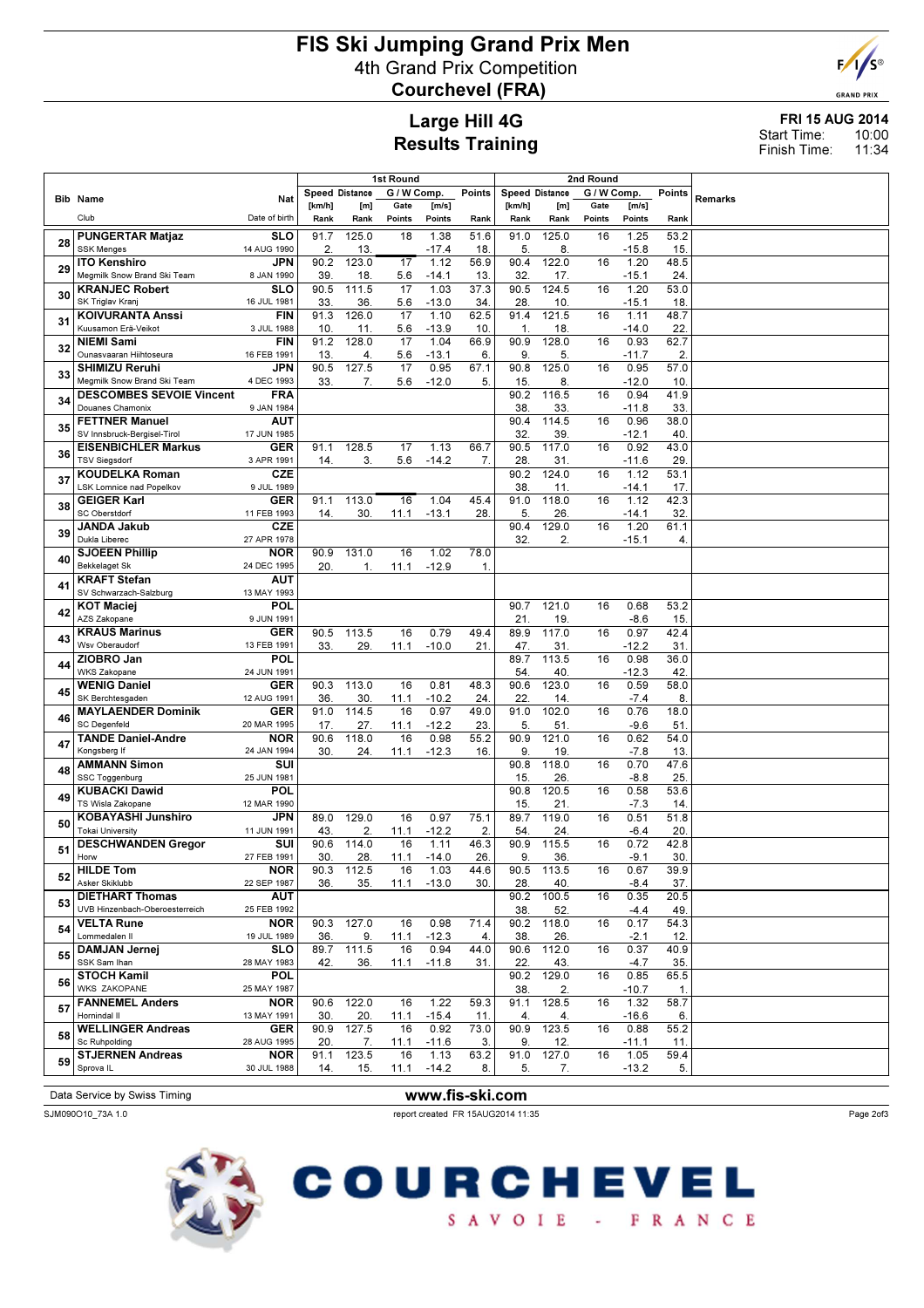# FIS Ski Jumping Grand Prix Men 4th Grand Prix Competition Courchevel (FRA)



**GRAND PRIX** 

### Large Hill 4G Results Training

#### FRI 15 AUG 2014 10:00 11:34 Start Time: Finish Time:

|    |                                          |                           |        |                       | <b>1st Round</b> |               |                   | 2nd Round      |                    |             |                 |                |         |
|----|------------------------------------------|---------------------------|--------|-----------------------|------------------|---------------|-------------------|----------------|--------------------|-------------|-----------------|----------------|---------|
|    |                                          |                           |        | <b>Speed Distance</b> | G / W Comp.      |               | Points            | Speed Distance |                    | G / W Comp. |                 | Points         |         |
|    | <b>Bib Name</b>                          | Nat                       | [km/h] | [m]                   | Gate             | [m/s]         |                   | [km/h]         | [m]                | Gate        | [m/s]           |                | Remarks |
|    | Club                                     | Date of birth             | Rank   | Rank                  | Points           | Points        | Rank              | Rank           | Rank               | Points      | Points          | Rank           |         |
|    | <b>PUNGERTAR Matjaz</b>                  | <b>SLO</b>                | 91.7   | 125.0                 | 18               | 1.38          | 51.6              | 91.0           | 125.0              | 16          | 1.25            | 53.2           |         |
| 28 | <b>SSK Menges</b>                        | 14 AUG 1990               | 2.     | 13.                   |                  | $-17.4$       | 18.               | 5.             | 8                  |             | $-15.8$         | 15.            |         |
|    | <b>ITO Kenshiro</b>                      | <b>JPN</b>                | 90.2   | 123.0                 | 17               | 1.12          | 56.9              | 90.4           | 122.0              | 16          | 1.20            | 48.5           |         |
| 29 | Megmilk Snow Brand Ski Team              | 8 JAN 1990                | 39     | 18.                   | 5.6              | $-14.1$       | 13.               | 32.            | 17.                |             | $-15.1$         | 24.            |         |
|    | <b>KRANJEC Robert</b>                    | <b>SLO</b>                | 90.5   | 111.5                 | 17               | 1.03          | 37.3              | 90.5           | 124.5              | 16          | 1.20            | 53.0           |         |
| 30 | SK Triglav Kranj                         | 16 JUL 1981               | 33.    | 36.                   | 5.6              | $-13.0$       | 34.               | 28.            | 10.                |             | $-15.1$         | 18.            |         |
|    | <b>KOIVURANTA Anssi</b>                  | <b>FIN</b>                | 91.3   | 126.0                 | 17               | 1.10          | $62.\overline{5}$ | 91.4           | 121.5              | 16          | 1.11            | 48.7           |         |
| 31 | Kuusamon Erä-Veikot                      | 3 JUL 1988                | 10     | 11.                   | 5.6              | $-13.9$       | 10.               | 1.             | 18                 |             | $-14.0$         | 22.            |         |
|    | <b>NIEMI Sami</b>                        | <b>FIN</b>                | 91.2   | 128.0                 | 17               | 1.04          | 66.9              | 90.9           | 128.0              | 16          | 0.93            | 62.7           |         |
| 32 | Ounasvaaran Hiihtoseura                  | 16 FEB 1991               | 13.    | 4.                    | 5.6              | $-13.1$       | 6.                | 9.             | 5.                 |             | $-11.7$         | $\overline{2}$ |         |
|    | <b>SHIMIZU Reruhi</b>                    | JPN                       | 90.5   | 127.5                 | 17               | 0.95          | 67.1              | 90.8           | 125.0              | 16          | 0.95            | 57.0           |         |
| 33 | Megmilk Snow Brand Ski Team              | 4 DEC 1993                | 33.    | 7.                    | 5.6              | $-12.0$       | 5.                | 15.            | 8.                 |             | $-12.0$         | 10.            |         |
|    | <b>DESCOMBES SEVOIE Vincent</b>          | <b>FRA</b>                |        |                       |                  |               |                   | 90.2           | $116.\overline{5}$ | 16          | 0.94            | 41.9           |         |
| 34 | Douanes Chamonix                         | 9 JAN 1984                |        |                       |                  |               |                   | 38.            | 33                 |             | $-11.8$         | 33.            |         |
|    | <b>FETTNER Manuel</b>                    | <b>AUT</b>                |        |                       |                  |               |                   | 90.4           | 114.5              | 16          | 0.96            | 38.0           |         |
| 35 | SV Innsbruck-Bergisel-Tirol              | 17 JUN 1985               |        |                       |                  |               |                   | 32.            | 39                 |             | $-12.1$         | 40.            |         |
|    | <b>EISENBICHLER Markus</b>               | GER                       | 91.1   | 128.5                 | 17               | 1.13          | 66.7              | 90.5           | 117.0              | 16          | 0.92            | 43.0           |         |
| 36 | <b>TSV Siegsdorf</b>                     | 3 APR 1991                | 14.    | 3.                    | 5.6              | $-14.2$       | 7.                | 28.            | 31                 |             | $-11.6$         | 29             |         |
|    | <b>KOUDELKA Roman</b>                    | <b>CZE</b>                |        |                       |                  |               |                   | 90.2           | 124.0              | 16          | 1.12            | 53.1           |         |
| 37 | LSK Lomnice nad Popelkov                 | 9 JUL 1989                |        |                       |                  |               |                   | 38.            | 11                 |             | $-14.1$         | 17.            |         |
|    | <b>GEIGER Karl</b>                       | GER                       | 91.1   | 113.0                 | 16               | 1.04          | 45.4              | 91.0           | 118.0              | 16          | 1.12            | 42.3           |         |
| 38 | SC Oberstdorf                            | 11 FEB 1993               | 14.    | 30.                   | 11.1             | $-13.1$       | 28.               | 5.             | 26.                |             | $-14.1$         | 32.            |         |
| 39 | <b>JANDA Jakub</b>                       | <b>CZE</b>                |        |                       |                  |               |                   | 90.4           | 129.0              | 16          | 1.20            | 61.1           |         |
|    | Dukla Liberec                            | 27 APR 1978               |        |                       |                  |               |                   | 32.            | 2.                 |             | $-15.1$         | 4.             |         |
| 40 | <b>SJOEEN Phillip</b>                    | <b>NOR</b>                | 90.9   | 131.0                 | 16               | 1.02          | 78.0              |                |                    |             |                 |                |         |
|    | <b>Bekkelaget Sk</b>                     | 24 DEC 1995               | 20.    | 1.                    | 11.1             | $-12.9$       | 1.                |                |                    |             |                 |                |         |
| 41 | <b>KRAFT Stefan</b>                      | <b>AUT</b>                |        |                       |                  |               |                   |                |                    |             |                 |                |         |
|    | SV Schwarzach-Salzburg                   | 13 MAY 1993               |        |                       |                  |               |                   |                |                    |             |                 |                |         |
| 42 | <b>KOT Maciej</b>                        | POL                       |        |                       |                  |               |                   | 90.7           | 121.0              | 16          | 0.68            | 53.2           |         |
|    | AZS Zakopane                             | 9 JUN 1991                |        |                       |                  |               |                   | 21.            | 19.                |             | $-8.6$          | 15.            |         |
| 43 | <b>KRAUS Marinus</b>                     | GER                       | 90.5   | 113.5                 | 16               | 0.79          | 49.4              | 89.9           | 117.0              | 16          | 0.97            | 42.4           |         |
|    | Wsv Oberaudorf                           | 13 FEB 1991               | 33.    | 29.                   | 11.1             | $-10.0$       | 21                | 47.<br>89.7    | 31                 |             | $-12.2$         | 31             |         |
| 44 | ZIOBRO Jan<br><b>WKS Zakopane</b>        | POL<br>24 JUN 1991        |        |                       |                  |               |                   | 54.            | 113.5<br>40.       | 16          | 0.98<br>$-12.3$ | 36.0<br>42.    |         |
|    | <b>WENIG Daniel</b>                      | <b>GER</b>                | 90.3   | 113.0                 | 16               | 0.81          | 48.3              | 90.6           | 123.0              | 16          | 0.59            | 58.0           |         |
| 45 | SK Berchtesgaden                         | 12 AUG 1991               | 36.    | 30.                   | 11.1             | $-10.2$       | 24.               | 22.            | 14.                |             | $-7.4$          | 8.             |         |
|    | <b>MAYLAENDER Dominik</b>                | <b>GER</b>                | 91.0   | 114.5                 | 16               | 0.97          | 49.0              | 91.0           | 102.0              | 16          | 0.76            | 18.0           |         |
| 46 | <b>SC Degenfeld</b>                      | 20 MAR 1995               | 17.    | 27.                   | 11.1             | $-12.2$       | 23.               | 5.             | 51                 |             | $-9.6$          | 51             |         |
|    | <b>TANDE Daniel-Andre</b>                | <b>NOR</b>                | 90.6   | 118.0                 | 16               | 0.98          | 55.2              | 90.9           | 121.0              | 16          | 0.62            | 54.0           |         |
| 47 | Kongsberg If                             | 24 JAN 1994               | 30     | 24.                   | 11.1             | $-12.3$       | 16.               | 9.             | 19.                |             | $-7.8$          | 13.            |         |
|    | <b>AMMANN Simon</b>                      | SUI                       |        |                       |                  |               |                   | 90.8           | 118.0              | 16          | 0.70            | 47.6           |         |
| 48 | SSC Toggenburg                           | 25 JUN 1981               |        |                       |                  |               |                   | 15.            | 26.                |             | $-8.8$          | 25.            |         |
| 49 | <b>KUBACKI Dawid</b>                     | POL                       |        |                       |                  |               |                   | 90.8           | 120.5              | 16          | 0.58            | 53.6           |         |
|    | TS Wisla Zakopane                        | 12 MAR 1990               |        |                       |                  |               |                   | 15.            | 21                 |             | $-7.3$          | 14.            |         |
| 50 | <b>KOBAYASHI Junshiro</b>                | <b>JPN</b>                | 89.0   | 129.0                 | 16               | 0.97          | 75.1              | 89.7           | 119.0              | 16          | 0.51            | 51.8           |         |
|    | <b>Tokai University</b>                  | 11 JUN 1991               | 43.    | 2.                    | 11.1             | $-12.2$       | 2.                | 54             | 24.                |             | $-6.4$          | 20.            |         |
| 51 | <b>DESCHWANDEN Gregor</b>                | SUI                       | 90.6   | 114.0                 | 16               | 1.11          | 46.3              | 90.9           | 115.5              | 16          | 0.72            | 42.8           |         |
|    | Horw                                     | 27 FEB 1991               | 30.    | 28.                   | 11.1             | $-14.0$       | 26.               | 9.             | 36.                |             | $-9.1$          | 30.            |         |
| 52 | <b>HILDE Tom</b>                         | <b>NOR</b>                | 90.3   | 112.5                 | 16               | 1.03          | 44.6              | 90.5           | 113.5              | 16          | 0.67            | 39.9           |         |
|    | Asker Skiklubb<br><b>DIETHART Thomas</b> | 22 SEP 1987<br><b>AUT</b> | 36.    | 35.                   |                  | $11.1 - 13.0$ | 30.               | 28.<br>90.2    | 40.<br>100.5       | 16          | $-8.4$<br>0.35  | 37.<br>20.5    |         |
| 53 | UVB Hinzenbach-Oberoesterreich           | 25 FEB 1992               |        |                       |                  |               |                   | 38.            | 52.                |             | $-4.4$          | 49.            |         |
|    | <b>VELTA Rune</b>                        | <b>NOR</b>                | 90.3   | 127.0                 | 16               | 0.98          | 71.4              | 90.2           | 118.0              | 16          | 0.17            | 54.3           |         |
| 54 | Lommedalen II                            | 19 JUL 1989               | 36.    | 9.                    | 11.1             | $-12.3$       | 4.                | 38.            | 26.                |             | $-2.1$          | 12.            |         |
|    | <b>DAMJAN Jernej</b>                     | <b>SLO</b>                | 89.7   | 111.5                 | 16               | 0.94          | 44.0              | 90.6           | 112.0              | 16          | 0.37            | 40.9           |         |
| 55 | SSK Sam Ihan                             | 28 MAY 1983               | 42.    | 36.                   | 11.1             | $-11.8$       | 31.               | 22.            | 43.                |             | $-4.7$          | 35.            |         |
|    | <b>STOCH Kamil</b>                       | <b>POL</b>                |        |                       |                  |               |                   | 90.2           | 129.0              | 16          | 0.85            | 65.5           |         |
| 56 | <b>WKS ZAKOPANE</b>                      | 25 MAY 1987               |        |                       |                  |               |                   | 38.            | 2.                 |             | $-10.7$         | 1.             |         |
| 57 | <b>FANNEMEL Anders</b>                   | <b>NOR</b>                | 90.6   | 122.0                 | 16               | 1.22          | 59.3              | 91.1           | 128.5              | 16          | 1.32            | 58.7           |         |
|    | Hornindal II                             | 13 MAY 1991               | 30     | 20.                   | 11.1             | $-15.4$       | 11.               | 4.             | 4.                 |             | $-16.6$         | 6.             |         |
| 58 | <b>WELLINGER Andreas</b>                 | GER                       | 90.9   | 127.5                 | 16               | 0.92          | 73.0              | 90.9           | 123.5              | 16          | 0.88            | 55.2           |         |
|    | Sc Ruhpolding                            | 28 AUG 1995               | 20.    | 7.                    | 11.1             | $-11.6$       | 3.                | 9.             | 12.                |             | $-11.1$         | 11.            |         |
| 59 | <b>STJERNEN Andreas</b>                  | <b>NOR</b>                | 91.1   | 123.5                 | 16               | 1.13          | 63.2              | 91.0           | 127.0              | 16          | 1.05            | 59.4           |         |
|    | Sprova IL                                | 30 JUL 1988               | 14.    | 15.                   |                  | $11.1 - 14.2$ | 8.                | 5.             | 7.                 |             | $-13.2$         | 5.             |         |
|    |                                          |                           |        |                       |                  |               |                   |                |                    |             |                 |                |         |

Data Service by Swiss Timing WWW.fis-ski.com

**COURCHEVEL** 

SAVOIE - FRANCE

SJM090O10\_73A 1.0 report created FR 15AUG2014 11:35

Page 2of3